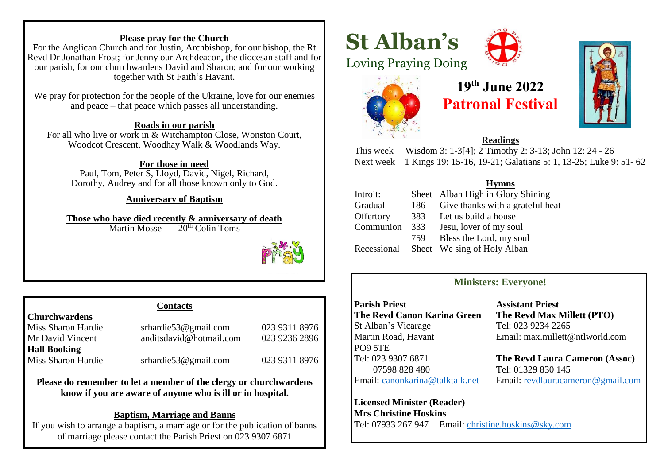#### **Please pray for the Church**

For the Anglican Church and for Justin, Archbishop, for our bishop, the Rt Revd Dr Jonathan Frost; for Jenny our Archdeacon, the diocesan staff and for our parish, for our churchwardens David and Sharon; and for our working together with St Faith's Havant.

We pray for protection for the people of the Ukraine, love for our enemies and peace – that peace which passes all understanding.

#### **Roads in our parish**

For all who live or work in & Witchampton Close, Wonston Court, Woodcot Crescent, Woodhay Walk & Woodlands Way.

#### **For those in need**

Paul, Tom, Peter S, Lloyd, David, Nigel, Richard, Dorothy, Audrey and for all those known only to God.

#### **Anniversary of Baptism**

**Those who have died recently & anniversary of death**<br>Martin Mosse 20<sup>th</sup> Colin Toms  $20<sup>th</sup>$  Colin Toms



#### **Contacts**

**Churchwardens** 

**Hall Booking**

Miss Sharon Hardie srhardie53@gmail.com 023 9311 8976 Mr David Vincent anditsdavid@hotmail.com 023 9236 2896

Miss Sharon Hardie srhardie53@gmail.com 023 9311 8976

**Please do remember to let a member of the clergy or churchwardens know if you are aware of anyone who is ill or in hospital.**

#### **Baptism, Marriage and Banns**

If you wish to arrange a baptism, a marriage or for the publication of banns of marriage please contact the Parish Priest on 023 9307 6871

j

# **St Alban's**







# **19th June 2022 Patronal Festival**



#### **Readings**

This week Wisdom 3: 1-3[4]; 2 Timothy 2: 3-13; John 12: 24 - 26 Next week 1 Kings 19: 15-16, 19-21; Galatians 5: 1, 13-25; Luke 9: 51- 62

#### **Hymns**

| Introit:  |      | Sheet Alban High in Glory Shining       |
|-----------|------|-----------------------------------------|
| Gradual   | 186  | Give thanks with a grateful heat        |
| Offertory | 383  | Let us build a house                    |
| Communion | 333  | Jesu, lover of my soul                  |
|           | 759. | Bless the Lord, my soul                 |
|           |      | Recessional Sheet We sing of Holy Alban |

#### **Ministers: Everyone!**

**Parish Priest Assistant Priest The Revd Canon Karina Green The Revd Max Millett (PTO)** St Alban's Vicarage Tel: 023 9234 2265 Martin Road, Havant Email: max.millett@ntlworld.com PO9 5TE 07598 828 480 Tel: 01329 830 145

Tel: 023 9307 6871 **The Revd Laura Cameron (Assoc)** Email: [canonkarina@talktalk.net](mailto:canonkarina@talktalk.net) Email: [revdlauracameron@gmail.com](mailto:revdlauracameron@gmail.com)

**Licensed Minister (Reader) Mrs Christine Hoskins** Tel: 07933 267 947 Email: [christine.hoskins@sky.com](mailto:christine.hoskins@sky.com)